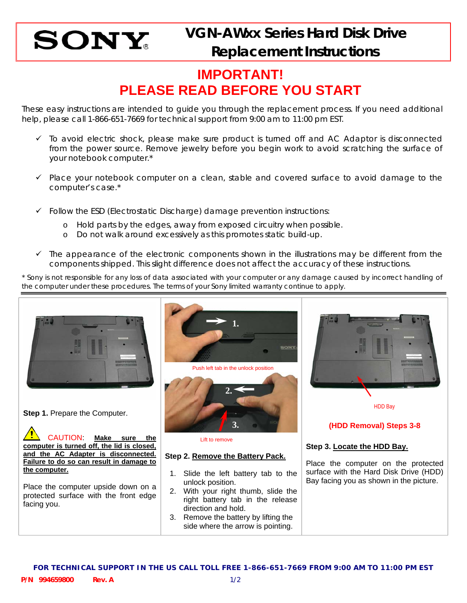

## **IMPORTANT! PLEASE READ BEFORE YOU START**

These easy instructions are intended to guide you through the replacement process. If you need additional help, please call 1-866-651-7669 for technical support from 9:00 am to 11:00 pm EST.

- $\checkmark$  To avoid electric shock, please make sure product is turned off and AC Adaptor is disconnected from the power source. Remove jewelry before you begin work to avoid scratching the surface of your notebook computer.\*
- $\checkmark$  Place your notebook computer on a clean, stable and covered surface to avoid damage to the computer's case.\*
- $\checkmark$  Follow the ESD (Electrostatic Discharge) damage prevention instructions:
	- o Hold parts by the edges, away from exposed circuitry when possible.
	- o Do not walk around excessively as this promotes static build-up.
- $\checkmark$  The appearance of the electronic components shown in the illustrations may be different from the components shipped. This slight difference does not affect the accuracy of these instructions.

\* Sony is not responsible for any loss of data associated with your computer or any damage caused by incorrect handling of the computer under these procedures. The terms of your Sony limited warranty continue to apply.